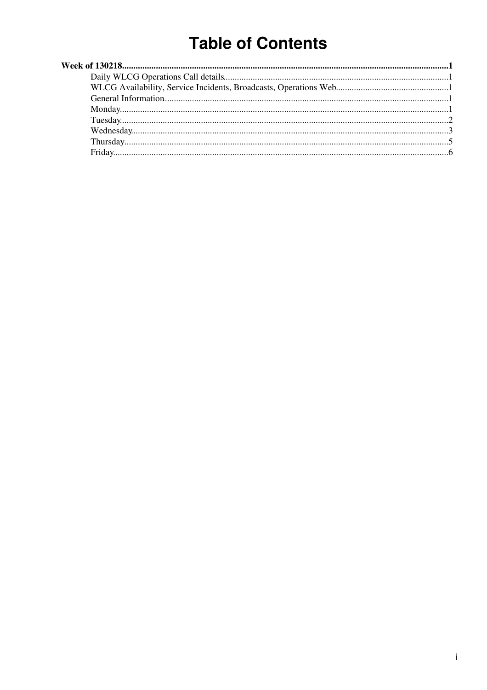# **Table of Contents**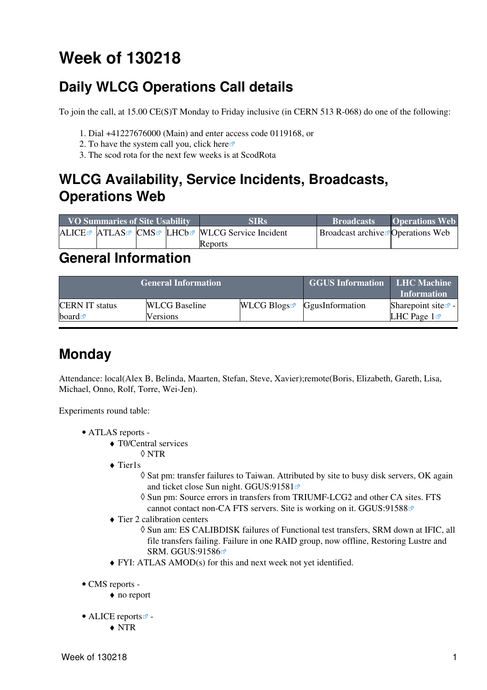# <span id="page-1-0"></span>**Week of 130218**

# <span id="page-1-1"></span>**Daily WLCG Operations Call details**

To join the call, at 15.00 CE(S)T Monday to Friday inclusive (in CERN 513 R-068) do one of the following:

- 1. Dial +41227676000 (Main) and enter access code 0119168, or
- 2. To have the system call you, click [here](https://audioconf.cern.ch/call/0119168) $\Phi$
- 3. The scod rota for the next few weeks is at [ScodRota](https://twiki.cern.ch/twiki/bin/view/LCG/ScodRota)

## <span id="page-1-2"></span>**WLCG Availability, Service Incidents, Broadcasts, Operations Web**

| <b>VO Summaries of Site Usability</b> |  |  | <b>SIRs</b>                                    | <b>Broadcasts</b>                             | <b>Operations Web</b> |
|---------------------------------------|--|--|------------------------------------------------|-----------------------------------------------|-----------------------|
|                                       |  |  | ALICE™ ATLAS™ CMS™ LHCb™ WLCG Service Incident | Broadcast archive <sup>r</sup> Operations Web |                       |
|                                       |  |  | Reports                                        |                                               |                       |

### <span id="page-1-3"></span>**General Information**

|                       | <b>General Information</b> | <b>GGUS Information</b> | <b>LHC Machine</b><br><b>Information</b>  |                          |
|-----------------------|----------------------------|-------------------------|-------------------------------------------|--------------------------|
| <b>CERN IT status</b> | <b>WLCG</b> Baseline       |                         | $WLCG$ Blogs <sup>R</sup> GgusInformation | Sharepoint site $\leq$ - |
| board $\blacksquare$  | <b>Versions</b>            |                         |                                           | LHC Page $1\blacksquare$ |

# <span id="page-1-4"></span>**Monday**

Attendance: local(Alex B, Belinda, Maarten, Stefan, Steve, Xavier);remote(Boris, Elizabeth, Gareth, Lisa, Michael, Onno, Rolf, Torre, Wei-Jen).

- ATLAS [reports](https://twiki.cern.ch/twiki/bin/view/Atlas/ADCOperationsDailyReports)  •
	- T0/Central services ♦
		- ◊ NTR
	- ◆ Tier1s
		- ◊ Sat pm: transfer failures to Taiwan. Attributed by site to busy disk servers, OK again and ticket close Sun night. [GGUS:91581](https://ggus.eu/ws/ticket_info.php?ticket=91581)<sup>®</sup>
		- $\Diamond$  Sun pm: Source errors in transfers from TRIUMF-LCG2 and other CA sites. FTS cannot contact non-CA FTS servers. Site is working on it. [GGUS:91588](https://ggus.eu/ws/ticket_info.php?ticket=91588)<sup>®</sup>
	- Tier 2 calibration centers ♦
		- Sun am: ES CALIBDISK failures of Functional test transfers, SRM down at IFIC, all ◊ file transfers failing. Failure in one RAID group, now offline, Restoring Lustre and SRM. [GGUS:91586](https://ggus.eu/ws/ticket_info.php?ticket=91586)
	- ♦ FYI: ATLAS AMOD(s) for this and next week not yet identified.
- CMS [reports](https://twiki.cern.ch/twiki/bin/view/CMS/FacOps_WLCGdailyreports) -
	- ♦ no report
- ALICE [reports](http://alien2.cern.ch/index.php?option=com_content&view=article&id=75&Itemid=129)
	- ♦ NTR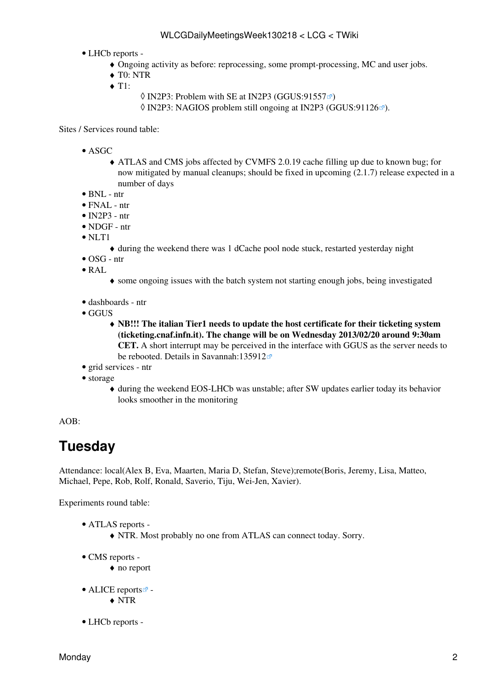- LHCb [reports](https://twiki.cern.ch/twiki/bin/view/LHCb/ProductionOperationsWLCGdailyReports) -
	- ♦ Ongoing activity as before: reprocessing, some prompt-processing, MC and user jobs.
	- ♦ T0: NTR
	- $\triangleleft$  T1:
		- $\Diamond$  [IN2P3:](https://twiki.cern.ch/twiki/bin/view/LCG/IN2P3) Problem with SE at [IN2P3](https://twiki.cern.ch/twiki/bin/view/LCG/IN2P3) [\(GGUS:91557](https://ggus.eu/ws/ticket_info.php?ticket=91557) $\degree$ )
		- $\Diamond$  [IN2P3:](https://twiki.cern.ch/twiki/bin/view/LCG/IN2P3) NAGIOS problem still ongoing at [IN2P3](https://twiki.cern.ch/twiki/bin/view/LCG/IN2P3) [\(GGUS:91126](https://ggus.eu/ws/ticket_info.php?ticket=91126) $\degree$ ).

Sites / Services round table:

- ASGC
	- ATLAS and CMS jobs affected by CVMFS 2.0.19 cache filling up due to known bug; for ♦ now mitigated by manual cleanups; should be fixed in upcoming (2.1.7) release expected in a number of days
- $\bullet$  BNL ntr
- FNAL ntr
- $\bullet$  [IN2P3](https://twiki.cern.ch/twiki/bin/view/LCG/IN2P3)  ntr
- NDGF ntr
- NLT1
	- ♦ during the weekend there was 1 dCache pool node stuck, restarted yesterday night
- OSG ntr
- [RAL](https://twiki.cern.ch/twiki/bin/view/LCG/RAL)
	- ♦ some ongoing issues with the batch system not starting enough jobs, being investigated
- dashboards ntr
- GGUS
	- **NB!!! The italian Tier1 needs to update the host certificate for their ticketing system** ♦ **(ticketing.cnaf.infn.it). The change will be on Wednesday 2013/02/20 around 9:30am CET.** A short interrupt may be perceived in the interface with GGUS as the server needs to be rebooted. Details in [Savannah:135912](https://savannah.cern.ch/support/?135912)
- grid services ntr
- storage
	- during the weekend EOS-LHCb was unstable; after SW updates earlier today its behavior ♦ looks smoother in the monitoring

```
AOB:
```
# <span id="page-2-0"></span>**Tuesday**

Attendance: local(Alex B, Eva, Maarten, Maria D, Stefan, Steve);remote(Boris, Jeremy, Lisa, Matteo, Michael, Pepe, Rob, Rolf, Ronald, Saverio, Tiju, Wei-Jen, Xavier).

- ATLAS [reports](https://twiki.cern.ch/twiki/bin/view/Atlas/ADCOperationsDailyReports)  •
	- ♦ NTR. Most probably no one from ATLAS can connect today. Sorry.
- CMS [reports](https://twiki.cern.ch/twiki/bin/view/CMS/FacOps_WLCGdailyreports) -
	- ♦ no report
- ALICE [reports](http://alien2.cern.ch/index.php?option=com_content&view=article&id=75&Itemid=129)<sup>2</sup>
	- ♦ NTR
- LHCb [reports](https://twiki.cern.ch/twiki/bin/view/LHCb/ProductionOperationsWLCGdailyReports) -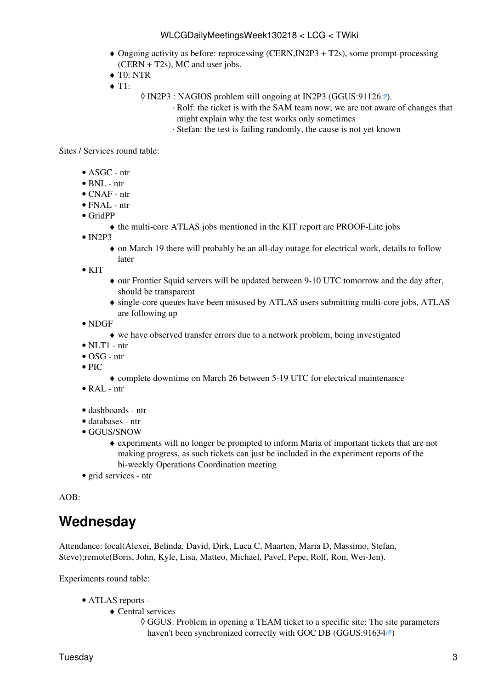- Ongoing activity as before: reprocessing (CERN,IN2P3 + T2s), some prompt-processing ♦ (CERN + T2s), MC and user jobs.
- ♦ T0: NTR
- $\triangleleft$  T1:
- 0 [IN2P3](https://twiki.cern.ch/twiki/bin/view/LCG/IN2P3) : NAGIOS problem still ongoing at [IN2P3](https://twiki.cern.ch/twiki/bin/view/LCG/IN2P3) ([GGUS:91126](https://ggus.eu/ws/ticket_info.php?ticket=91126)₫).
	- Rolf: the ticket is with the SAM team now; we are not aware of changes that ⋅ might explain why the test works only sometimes
	- ⋅ Stefan: the test is failing randomly, the cause is not yet known

Sites / Services round table:

- ASGC ntr
- BNL ntr
- CNAF ntr
- FNAL ntr
- [GridPP](https://twiki.cern.ch/twiki/bin/view/LCG/GridPP)
	- ♦ the multi-core ATLAS jobs mentioned in the KIT report are PROOF-Lite jobs
- $\bullet$  [IN2P3](https://twiki.cern.ch/twiki/bin/view/LCG/IN2P3)
	- on March 19 there will probably be an all-day outage for electrical work, details to follow ♦ later

 $\bullet$  KIT

- our Frontier Squid servers will be updated between 9-10 UTC tomorrow and the day after, ♦ should be transparent
- single-core queues have been misused by ATLAS users submitting multi-core jobs, ATLAS ♦ are following up
- NDGF
	- ♦ we have observed transfer errors due to a network problem, being investigated
- $\bullet$  NLT1 ntr
- OSG ntr
- $\bullet$  PIC
- ♦ complete downtime on March 26 between 5-19 UTC for electrical maintenance
- [RAL](https://twiki.cern.ch/twiki/bin/view/LCG/RAL) ntr
- dashboards ntr
- databases ntr
- GGUS/SNOW
	- experiments will no longer be prompted to inform Maria of important tickets that are not ♦ making progress, as such tickets can just be included in the experiment reports of the bi-weekly Operations Coordination meeting
- grid services ntr

AOB:

### <span id="page-3-0"></span>**Wednesday**

Attendance: local(Alexei, Belinda, David, Dirk, Luca C, Maarten, Maria D, Massimo, Stefan, Steve);remote(Boris, John, Kyle, Lisa, Matteo, Michael, Pavel, Pepe, Rolf, Ron, Wei-Jen).

- ATLAS [reports](https://twiki.cern.ch/twiki/bin/view/Atlas/ADCOperationsDailyReports)  •
	- Central services ♦
		- GGUS: Problem in opening a TEAM ticket to a specific site: The site parameters ◊ haven't been synchronized correctly with GOC DB ([GGUS:91634](https://ggus.eu/ws/ticket_info.php?ticket=91634) $\infty$ )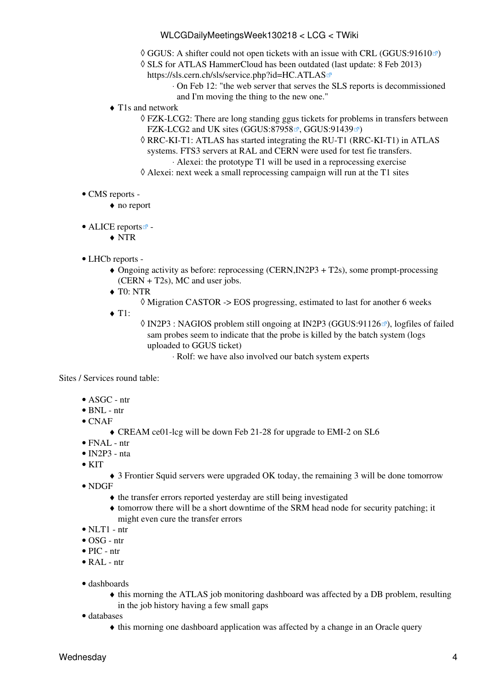- ◊ GGUS: A shifter could not open tickets with an issue with CRL [\(GGUS:91610](https://ggus.eu/ws/ticket_info.php?ticket=91610) )
- SLS for ATLAS HammerCloud has been outdated (last update: 8 Feb 2013) ◊ <https://sls.cern.ch/sls/service.php?id=HC.ATLAS>
	- On Feb 12: "the web server that serves the SLS reports is decommissioned ⋅ and I'm moving the thing to the new one."
- T1s and network ♦
	- FZK-LCG2: There are long standing ggus tickets for problems in transfers between ◊ FZK-LCG2 and UK sites ([GGUS:87958](https://ggus.eu/ws/ticket_info.php?ticket=87958)<sup>®</sup>, [GGUS:91439](https://ggus.eu/ws/ticket_info.php?ticket=91439)<sup>®</sup>)
	- RRC-KI-T1: ATLAS has started integrating the RU-T1 (RRC-KI-T1) in ATLAS ◊ systems. FTS3 servers at [RAL](https://twiki.cern.ch/twiki/bin/view/LCG/RAL) and CERN were used for test fie transfers. ⋅ Alexei: the prototype T1 will be used in a reprocessing exercise
	- $\Diamond$  Alexei: next week a small reprocessing campaign will run at the T1 sites
- CMS [reports](https://twiki.cern.ch/twiki/bin/view/CMS/FacOps_WLCGdailyreports) -
	- ♦ no report
- ALICE [reports](http://alien2.cern.ch/index.php?option=com_content&view=article&id=75&Itemid=129)
	- ♦ NTR
- LHCb [reports](https://twiki.cern.ch/twiki/bin/view/LHCb/ProductionOperationsWLCGdailyReports) -
	- Ongoing activity as before: reprocessing (CERN,IN2P3 + T2s), some prompt-processing ♦ (CERN + T2s), MC and user jobs.
	- ◆ T0: NTR
		- $\Diamond$  Migration CASTOR -> EOS progressing, estimated to last for another 6 weeks
	- $\triangleleft$  T1:

◊ [IN2P3](https://twiki.cern.ch/twiki/bin/view/LCG/IN2P3) : NAGIOS problem still ongoing at [IN2P3](https://twiki.cern.ch/twiki/bin/view/LCG/IN2P3) ([GGUS:91126](https://ggus.eu/ws/ticket_info.php?ticket=91126)☞), logfiles of failed sam probes seem to indicate that the probe is killed by the batch system (logs uploaded to GGUS ticket)

⋅ Rolf: we have also involved our batch system experts

Sites / Services round table:

- ASGC ntr
- $\bullet$  BNL ntr
- CNAF
	- ♦ [CREAM](https://twiki.cern.ch/twiki/bin/view/LCG/CREAM) ce01-lcg will be down Feb 21-28 for upgrade to EMI-2 on SL6
- FNAL ntr
- $\bullet$  [IN2P3](https://twiki.cern.ch/twiki/bin/view/LCG/IN2P3)  nta
- $\bullet$  KIT
- ♦ 3 Frontier Squid servers were upgraded OK today, the remaining 3 will be done tomorrow NDGF •
	- ♦ the transfer errors reported yesterday are still being investigated
	- tomorrow there will be a short downtime of the SRM head node for security patching; it ♦ might even cure the transfer errors
- $\bullet$  NLT1 ntr
- OSG ntr
- PIC ntr
- $\bullet$  [RAL](https://twiki.cern.ch/twiki/bin/view/LCG/RAL) ntr
- dashboards
	- this morning the ATLAS job monitoring dashboard was affected by a DB problem, resulting ♦ in the job history having a few small gaps
- databases
	- ♦ this morning one dashboard application was affected by a change in an Oracle query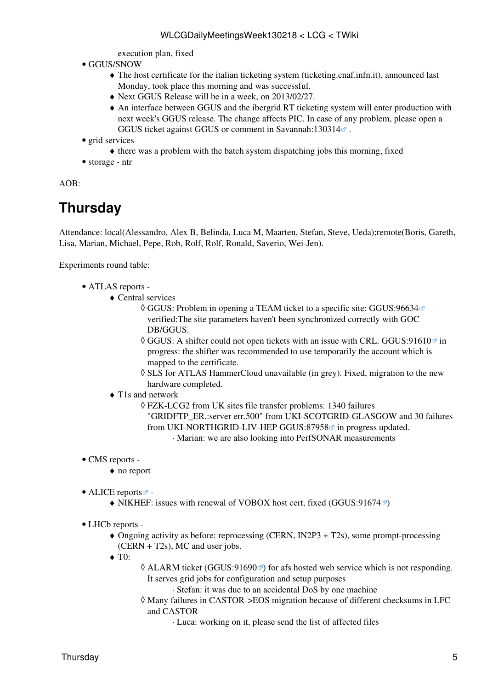execution plan, fixed

- GGUS/SNOW
	- The host certificate for the italian ticketing system (ticketing.cnaf.infn.it), announced last ♦ Monday, took place this morning and was successful.
	- ♦ Next GGUS Release will be in a week, on 2013/02/27.
	- An interface between GGUS and the ibergrid RT ticketing system will enter production with ♦ next week's GGUS release. The change affects PIC. In case of any problem, please open a GGUS ticket against GGUS or comment in Savannah:130314 $\Phi$ .
- grid services
	- $\bullet$  there was a problem with the batch system dispatching jobs this morning, fixed
- storage ntr

AOB:

# <span id="page-5-0"></span>**Thursday**

Attendance: local(Alessandro, Alex B, Belinda, Luca M, Maarten, Stefan, Steve, Ueda);remote(Boris, Gareth, Lisa, Marian, Michael, Pepe, Rob, Rolf, Rolf, Ronald, Saverio, Wei-Jen).

Experiments round table:

- ATLAS [reports](https://twiki.cern.ch/twiki/bin/view/Atlas/ADCOperationsDailyReports)  •
	- Central services ♦
		- GGUS: Problem in opening a TEAM ticket to a specific site: [GGUS:96634](https://ggus.eu/ws/ticket_info.php?ticket=96634) ◊ verified:The site parameters haven't been synchronized correctly with GOC DB/GGUS.
		- $\Diamond$  GGUS: A shifter could not open tickets with an issue with CRL. [GGUS:91610](https://ggus.eu/ws/ticket_info.php?ticket=91610) $\degree$  in progress: the shifter was recommended to use temporarily the account which is mapped to the certificate.
		- ◊ SLS for ATLAS [HammerCloud](https://twiki.cern.ch/twiki/bin/view/LCG/HammerCloud) unavailable (in grey). Fixed, migration to the new hardware completed.
	- T1s and network ♦

FZK-LCG2 from UK sites file transfer problems: 1340 failures ◊ "GRIDFTP\_ER.:server err.500" from UKI-SCOTGRID-GLASGOW and 30 failures from UKI-NORTHGRID-LIV-HEP [GGUS:87958](https://ggus.eu/ws/ticket_info.php?ticket=87958)<sup> $\sigma$ </sup> in progress updated. ⋅ Marian: we are also looking into [PerfSONAR](https://twiki.cern.ch/twiki/bin/edit/LCG/PerfSONAR?topicparent=LCG.WLCGDailyMeetingsWeek130218;nowysiwyg=1) measurements

- CMS [reports](https://twiki.cern.ch/twiki/bin/view/CMS/FacOps_WLCGdailyreports) -
	- ♦ no report
- ALICE [reports](http://alien2.cern.ch/index.php?option=com_content&view=article&id=75&Itemid=129)<sup>2</sup>
	- $\blacklozenge$  NIKHEF: issues with renewal of VOBOX host cert, fixed ([GGUS:91674](https://ggus.eu/ws/ticket_info.php?ticket=91674) $\blacktriangledown$ )
- LHCb [reports](https://twiki.cern.ch/twiki/bin/view/LHCb/ProductionOperationsWLCGdailyReports)  •
	- Ongoing activity as before: reprocessing (CERN, [IN2P3](https://twiki.cern.ch/twiki/bin/view/LCG/IN2P3) + T2s), some prompt-processing ♦ (CERN + T2s), MC and user jobs.
	- ◆ T<sub>0</sub>:
- ◊ ALARM ticket [\(GGUS:91690](https://ggus.eu/ws/ticket_info.php?ticket=91690) <sup>arr</sup>) for afs hosted web service which is not responding. It serves grid jobs for configuration and setup purposes

⋅ Stefan: it was due to an accidental DoS by one machine

Many failures in CASTOR->EOS migration because of different checksums in LFC ◊ and CASTOR

⋅ Luca: working on it, please send the list of affected files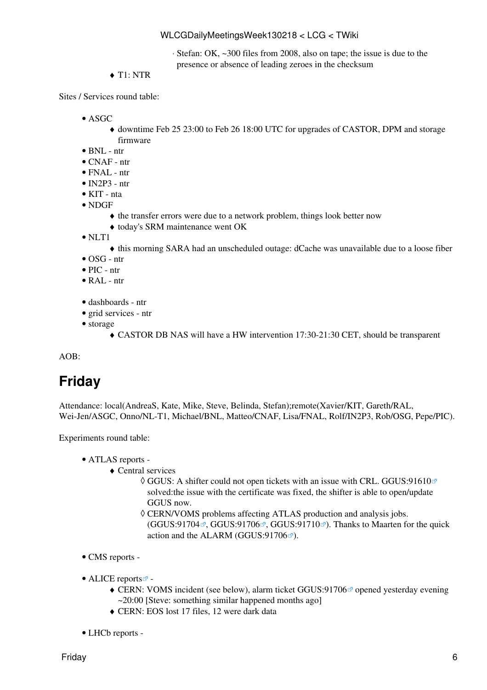Stefan: OK, ~300 files from 2008, also on tape; the issue is due to the ⋅ presence or absence of leading zeroes in the checksum

 $\triangleleft$  T<sub>1</sub>: NTR

Sites / Services round table:

- $\bullet$  ASGC
	- downtime Feb 25 23:00 to Feb 26 18:00 UTC for upgrades of CASTOR, DPM and storage ♦ firmware
- $\bullet$  RNI  $\overline{\phantom{a}}$  ntr
- CNAF ntr
- FNAL ntr
- $\bullet$  [IN2P3](https://twiki.cern.ch/twiki/bin/view/LCG/IN2P3)  ntr
- KIT nta
- NDGF
	- ♦ the transfer errors were due to a network problem, things look better now
	- ♦ today's SRM maintenance went OK
- NLT1
	- ♦ this morning SARA had an unscheduled outage: dCache was unavailable due to a loose fiber
- OSG ntr
- PIC ntr
- [RAL](https://twiki.cern.ch/twiki/bin/view/LCG/RAL) ntr
- dashboards ntr
- grid services ntr
- storage
	- ♦ CASTOR DB NAS will have a HW intervention 17:30-21:30 CET, should be transparent

AOB:

# <span id="page-6-0"></span>**Friday**

Attendance: local(AndreaS, Kate, Mike, Steve, Belinda, Stefan);remote(Xavier/KIT, Gareth/RAL, Wei-Jen/ASGC, Onno/NL-T1, Michael/BNL, Matteo/CNAF, Lisa/FNAL, Rolf/IN2P3, Rob/OSG, Pepe/PIC).

- ATLAS [reports](https://twiki.cern.ch/twiki/bin/view/Atlas/ADCOperationsDailyReports)  •
	- Central services ♦
		- GGUS: A shifter could not open tickets with an issue with CRL. [GGUS:91610](https://ggus.eu/ws/ticket_info.php?ticket=91610) ◊ solved:the issue with the certificate was fixed, the shifter is able to open/update GGUS now.
		- CERN/VOMS problems affecting ATLAS production and analysis jobs. ◊  $(GGUS:91704\mathbb{Z}, GGUS:91706\mathbb{Z}, GGUS:91710\mathbb{Z})$  $(GGUS:91704\mathbb{Z}, GGUS:91706\mathbb{Z}, GGUS:91710\mathbb{Z})$  $(GGUS:91704\mathbb{Z}, GGUS:91706\mathbb{Z}, GGUS:91710\mathbb{Z})$  $(GGUS:91704\mathbb{Z}, GGUS:91706\mathbb{Z}, GGUS:91710\mathbb{Z})$  $(GGUS:91704\mathbb{Z}, GGUS:91706\mathbb{Z}, GGUS:91710\mathbb{Z})$  $(GGUS:91704\mathbb{Z}, GGUS:91706\mathbb{Z}, GGUS:91710\mathbb{Z})$  $(GGUS:91704\mathbb{Z}, GGUS:91706\mathbb{Z}, GGUS:91710\mathbb{Z})$ . Thanks to Maarten for the quick action and the ALARM (GGUS: $91706$ <sup> $\textdegree$ </sup>).
- CMS [reports](https://twiki.cern.ch/twiki/bin/view/CMS/FacOps_WLCGdailyreports) -
- ALICE [reports](http://alien2.cern.ch/index.php?option=com_content&view=article&id=75&Itemid=129)
	- CERN: [VOMS](https://twiki.cern.ch/twiki/bin/view/LCG/VOMS) incident (see below), alarm ticket [GGUS:91706](https://ggus.eu/ws/ticket_info.php?ticket=91706)<sup>®</sup> opened yesterday evening  $\sim$ 20:00 [Steve: something similar happened months ago]
	- ♦ CERN: EOS lost 17 files, 12 were dark data
- LHCb [reports](https://twiki.cern.ch/twiki/bin/view/LHCb/ProductionOperationsWLCGdailyReports) -